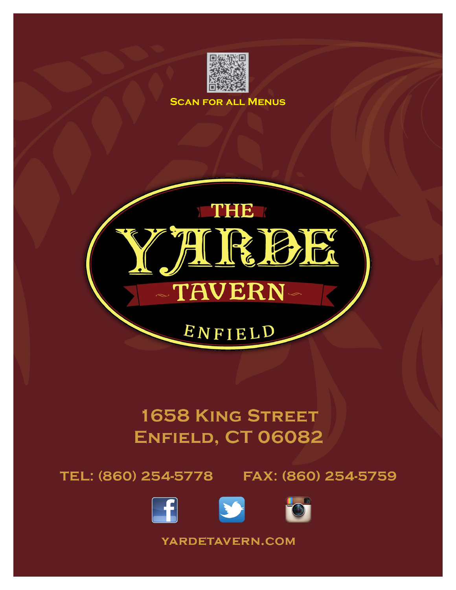

**SCAN FOR ALL MENUS** 



# **1658 KING STREET** ENFIELD, CT 06082

TEL: (860) 254-5778 FAX: (860) 254-5759





YARDETAVERN.COM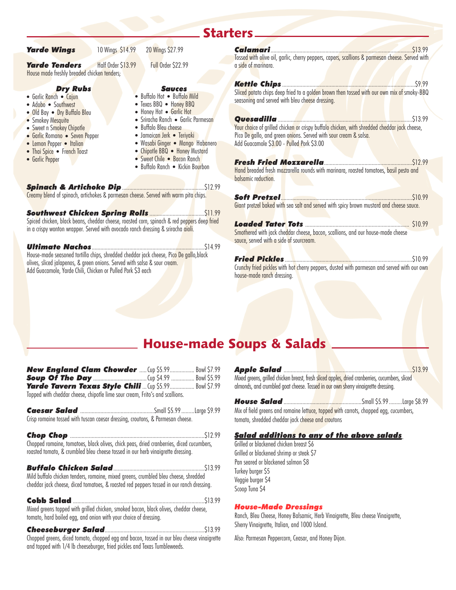|                                                                                                                                                                                                                                                                    |                    |                                                                                                                                                                                                                                                                                                                                            | Starters_                                                                                                                                                                                                                                                                                                                                                                                                                                                                      |
|--------------------------------------------------------------------------------------------------------------------------------------------------------------------------------------------------------------------------------------------------------------------|--------------------|--------------------------------------------------------------------------------------------------------------------------------------------------------------------------------------------------------------------------------------------------------------------------------------------------------------------------------------------|--------------------------------------------------------------------------------------------------------------------------------------------------------------------------------------------------------------------------------------------------------------------------------------------------------------------------------------------------------------------------------------------------------------------------------------------------------------------------------|
| <b>Yarde Wings</b>                                                                                                                                                                                                                                                 | 10 Wings \$14.99   | 20 Wings \$27.99                                                                                                                                                                                                                                                                                                                           |                                                                                                                                                                                                                                                                                                                                                                                                                                                                                |
| <b>Yarde Tenders</b><br>House made freshly breaded chicken tenders;                                                                                                                                                                                                | Half Order \$13.99 | Full Order \$22.99                                                                                                                                                                                                                                                                                                                         | Tossed with olive oil, garlic, cherry peppers, capers, scallions & parmesan cheese. Served with<br>a side of marinara.                                                                                                                                                                                                                                                                                                                                                         |
| <b>Dry Rubs</b><br>• Garlic Ranch • Cajun<br>• Adobo • Southwest<br>• Old Bay • Dry Buffalo Bleu<br>• Smokey Mesquite<br>• Sweet n Smokey Chipotle<br>• Garlic Romano • Seven Pepper<br>• Lemon Pepper • Italian<br>• Thai Spice • French Toast<br>• Garlic Pepper |                    | <b>Sauces</b><br>• Buffalo Hot • Buffalo Mild<br>• Texas BBQ • Honey BBQ<br>• Honey Hot • Garlic Hot<br>· Sriracha Ranch · Garlic Parmesan<br>• Buffalo Bleu cheese<br>· Jamaican Jerk · Teriyaki<br>· Wasabi Ginger • Mango Habanero<br>• Chipotle BBQ • Honey Mustard<br>• Sweet Chile • Bacon Ranch<br>• Buffalo Ranch • Kickin Bourbon | Sliced potato chips deep fried to a golden brown then tossed with our own mix of smoky-BBQ<br>seasoning and served with bleu cheese dressing.<br>Your choice of grilled chicken or crispy buffalo chicken, with shredded cheddar jack cheese,<br>Pico De gallo, and green onions. Served with sour cream & salsa.<br>Add Guacamole \$3.00 - Pulled Pork \$3.00<br>Hand breaded fresh mozzarella rounds with marinara, roasted tomatoes, basil pesto and<br>balsamic reduction. |
|                                                                                                                                                                                                                                                                    |                    | Creamy blend of spinach, artichokes & parmesan cheese. Served with warm pita chips.                                                                                                                                                                                                                                                        |                                                                                                                                                                                                                                                                                                                                                                                                                                                                                |
| in a crispy wonton wrapper. Served with avocado ranch dressing & sriracha aioli.                                                                                                                                                                                   |                    | Spiced chicken, black beans, cheddar cheese, roasted corn, spinach & red peppers deep fried                                                                                                                                                                                                                                                | Giant pretzel baked with sea salt and served with spicy brown mustard and cheese sauce.<br>Smothered with jack cheddar cheese, bacon, scallions, and our house-made cheese<br>sauce, served with a side of sourcream.                                                                                                                                                                                                                                                          |
| olives, sliced jalapenos, & green onions. Served with salsa & sour cream.<br>Add Guacamole, Yarde Chili, Chicken or Pulled Pork \$3 each                                                                                                                           |                    | \$14.99<br>House-made seasoned tortilla chips, shredded cheddar jack cheese, Pico De gallo,black                                                                                                                                                                                                                                           | Crunchy fried pickles with hot cherry peppers, dusted with parmesan and served with our own<br>house-made ranch dressing.                                                                                                                                                                                                                                                                                                                                                      |

# House-made Soups & Salads

| New England Clam Chowder  Cup \$5.99  Bowl \$7.99<br><b>Yarde Tavern Texas Style Chili</b> Cup \$5.99  Bowl \$7.99<br>Topped with cheddar cheese, chipotle lime sour cream, Frito's and scallions. |  |
|----------------------------------------------------------------------------------------------------------------------------------------------------------------------------------------------------|--|
| Crisp romaine tossed with tuscan caesar dressing, croutons, & Parmesan cheese.                                                                                                                     |  |
| Chopped romaine, tomatoes, black olives, chick peas, dried cranberries, diced cucumbers,<br>roasted tomato, & crumbled bleu cheese tossed in our herb vinaigrette dressing.                        |  |
| Mild buffalo chicken tenders, romaine, mixed greens, crumbled bleu cheese, shredded<br>cheddar jack cheese, diced tomatoes, & roasted red peppers tossed in our ranch dressing.                    |  |
| Mixed greens topped with grilled chicken, smoked bacon, black olives, cheddar cheese,<br>tomato, hard boiled egg, and onion with your choice of dressing.                                          |  |
| Chopped greens, diced tomato, chopped egg and bacon, tossed in our bleu cheese vinaigrette<br>and topped with 1/4 lb cheeseburger, fried pickles and Texas Tumbleweeds.                            |  |

÷

| Mixed greens, grilled chicken breast, fresh <mark>sliced apples, d</mark> ried cranberries, cucumbers, sliced<br>almonds, and crumbled goat cheese. Tosse <mark>d in ou</mark> r own sherry vinaigrette dressing. |  |  |
|-------------------------------------------------------------------------------------------------------------------------------------------------------------------------------------------------------------------|--|--|
|                                                                                                                                                                                                                   |  |  |

Mix of field greens and romaine lettuce, topped with carrots, chopped egg, cucumbers, tomato, shredded cheddar jack cheese and croutons

#### *Salad additions to any of the above salads*

Grilled or blackened chicken breast \$6 Grilled or blackened shrimp or steak \$7 Pan seared or blackened salmon \$8 Turkey burger \$5 Veggie burger \$4 Scoop Tuna \$4

#### *House-Made Dressings*

Ranch, Bleu Cheese, Honey Balsamic, Herb Vinaigrette, Bleu cheese Vinaigrette, Sherry Vinaigrette, Italian, and 1000 Island.

Also: Parmesan Peppercorn, Ceasar, and Honey Dijon.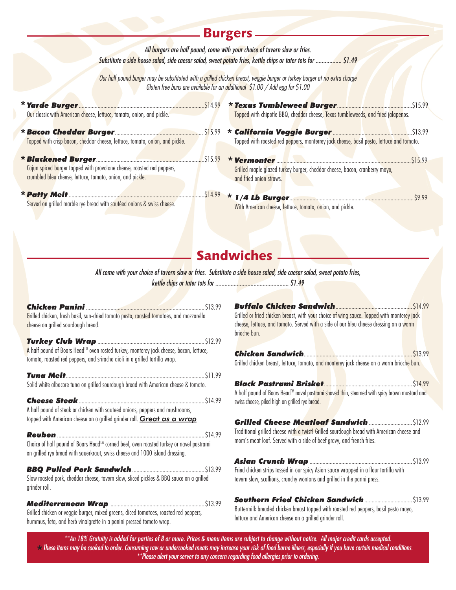|                                                                                                                                         | <b>Burgers</b>                                                                                                                                                                                            |
|-----------------------------------------------------------------------------------------------------------------------------------------|-----------------------------------------------------------------------------------------------------------------------------------------------------------------------------------------------------------|
|                                                                                                                                         | All burgers are half pound, come with your choice of tavern slaw or fries.<br>Substitute a side house salad, side caesar salad, sweet potato fries, kettle chips or tater tots for  \$1.49                |
|                                                                                                                                         | Our half pound burger may be substituted with a grilled chicken breast, veggie burger or turkey burger at no extra charge<br>Gluten free buns are available for an additional \$1.00 / Add egg for \$1.00 |
| * Yarde Burger <b>Manual Manual Manual Manual State</b> 514.99<br>Our classic with American cheese, lettuce, tomato, onion, and pickle. | Topped with chipotle BBQ, cheddar cheese, Texas tumbleweeds, and fried jalapenos.                                                                                                                         |
| Topped with crisp bacon, cheddar cheese, lettuce, tomato, onion, and pickle.                                                            | Topped with roasted red peppers, monterrey jack cheese, basil pesto, lettuce and tomato.                                                                                                                  |
| Cajun spiced burger topped with provolone cheese, roasted red peppers,<br>crumbled bleu cheese, lettuce, tomato, onion, and pickle.     | * Vermonter <b>Manual Manual Manual Community</b><br>515.99<br>Grilled maple glazed turkey burger, cheddar cheese, bacon, cranberry mayo,<br>and fried onion straws.                                      |
| Served on grilled marble rye bread with sautéed onions & swiss cheese.                                                                  | With American cheese, lettuce, tomato, onion, and pickle.                                                                                                                                                 |

# **Sandwiches**

*All come with your choice of tavern slaw or fries. Substitute a side house salad, side caesar salad, sweet potato fries,*

*kettle chips or tater tots for ................................................ \$1.49*

| Grilled chicken, fresh basil, sun-dried tomato pesto, roasted tomatoes, and mozzarella<br>cheese on grilled sourdough bread.                                                      |  |
|-----------------------------------------------------------------------------------------------------------------------------------------------------------------------------------|--|
| A half pound of Boars Head <sup>TM</sup> oven rosted turkey, monterey jack cheese, bacon, lettuce,<br>tomato, roasted red peppers, and sriracha aioli in a grilled tortilla wrap. |  |
| Solid white albacore tuna on grilled sourdough bread with American cheese & tomato.                                                                                               |  |
| <b>Cheese Steak</b><br>A half pound of steak or chicken with sauteed onions, peppers and mushrooms,<br>topped with American cheese on a grilled grinder roll. Great as a wrap     |  |
| Choice of half pound of Boars Head™ corned beef, oven roasted turkey or navel pastrami<br>on grilled rye bread with sauerkraut, swiss cheese and 1000 island dressing.            |  |
| Slow roasted pork, cheddar cheese, tavern slaw, sliced pickles & BBQ sauce on a grilled<br>grinder roll.                                                                          |  |
| Grilled chicken or veggie burger, mixed greens, diced tomatoes, roasted red peppers,<br>hummus, feta, and herb vinaigrette in a panini pressed tomato wrap.                       |  |

*Buffalo Chicken Sandwich*.....................................................\$14.99 Grilled or fried chicken breast, with your choice of wing sauce. Topped with monterey jack cheese, lettuce, and tomato. Served with a side of our bleu cheese dressing on a warm brioche bun.

| Grilled chicken breast, lettuce, tomato, <mark>and monter</mark> ey jack cheese on a warm brioche bun. I                                                                         |  |
|----------------------------------------------------------------------------------------------------------------------------------------------------------------------------------|--|
| A half pound of Boars Head™ navel past <mark>rami sh</mark> ave <mark>d th</mark> in, steamed with spicy brown mustard and<br>swiss cheese, piled high on grilled rye bread.     |  |
| Traditional grilled cheese wit <mark>h a twist! Grill</mark> ed sourdough bread with American cheese and<br>mom's meat loaf. Served with a side of beef gravy, and french fries. |  |
| Fried chicken strips tossed in our spicy Asian sauce wrapped in a flour tortilla with<br>tavern slaw, scallions, crunchy wontons and grilled in the panni press.                 |  |
|                                                                                                                                                                                  |  |

Buttermilk breaded chicken breast topped with roasted red peppers, basil pesto mayo, lettuce and American cheese on a grilled grinder roll.

*\*\*An 18% Gratuity is added for parties of 8 or more. Prices & menu items are subject to change without notice. All major credit cards accepted. These items may be cooked to order. Consuming raw or undercooked meats may increase your risk of food borne illness, especially if you have certain medical conditions.*  \**\*\*Please alert your server to any concern regarding food allergies prior to ordering.*